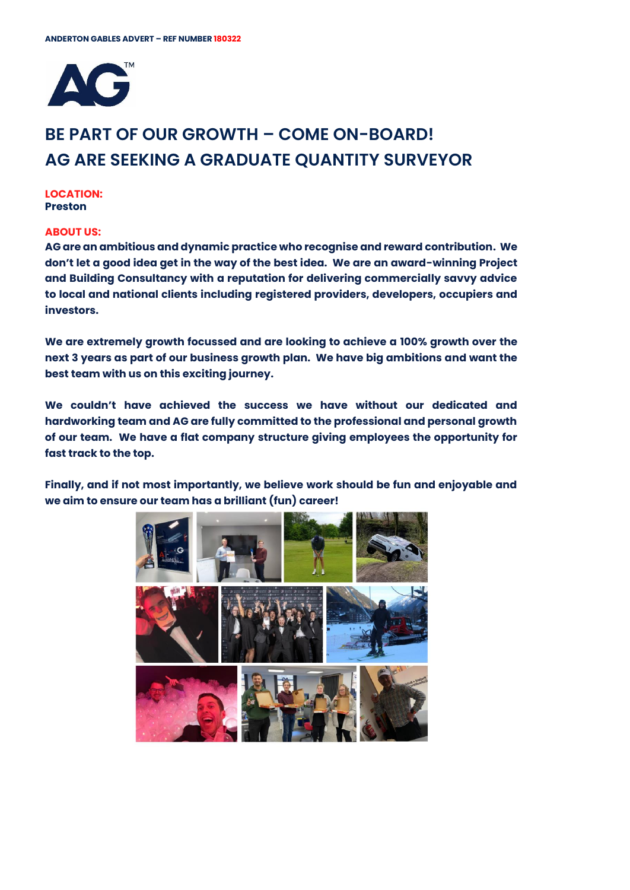

# **BE PART OF OUR GROWTH – COME ON-BOARD! AG ARE SEEKING A GRADUATE QUANTITY SURVEYOR**

**LOCATION:** Preston

### **ABOUT US:**

AG are an ambitious and dynamic practice who recognise and reward contribution. We don't let a good idea get in the way of the best idea. We are an award-winning Project and Building Consultancy with a reputation for delivering commercially savvy advice to local and national clients including registered providers, developers, occupiers and investors.

We are extremely growth focussed and are looking to achieve a 100% growth over the next 3 years as part of our business growth plan. We have big ambitions and want the best team with us on this exciting journey.

We couldn't have achieved the success we have without our dedicated and hardworking team and AG are fully committed to the professional and personal growth of our team. We have a flat company structure giving employees the opportunity for fast track to the top.

Finally, and if not most importantly, we believe work should be fun and enjoyable and we aim to ensure our team has a brilliant (fun) career!

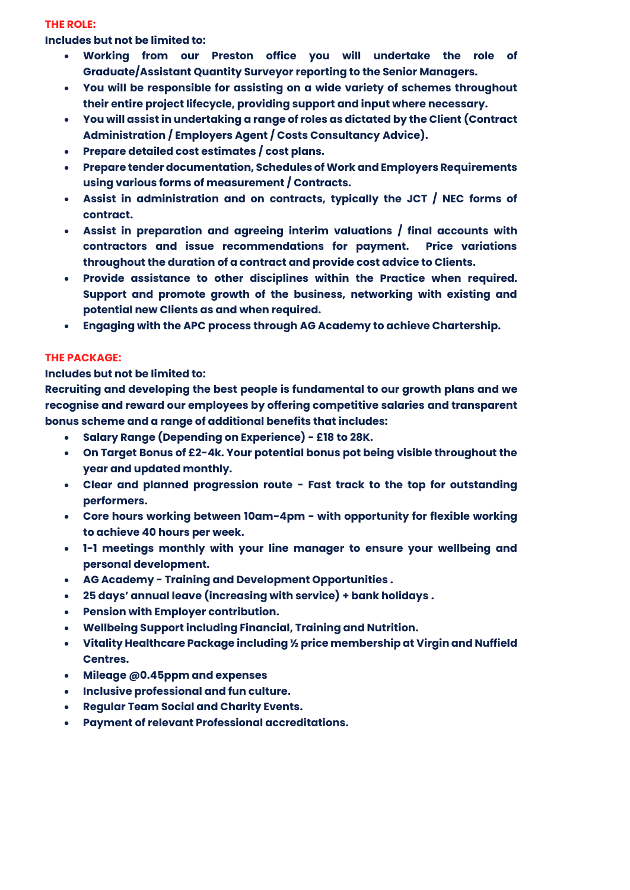## **THE ROLE:**

**Includes but not be limited to:** 

- Working from our Preston office you will undertake the role of Graduate/Assistant Quantity Surveyor reporting to the Senior Managers.
- You will be responsible for assisting on a wide variety of schemes throughout their entire project lifecycle, providing support and input where necessary.
- You will assist in undertaking a range of roles as dictated by the Client (Contract Administration / Employers Agent / Costs Consultancy Advice).
- Prepare detailed cost estimates / cost plans.
- Prepare tender documentation, Schedules of Work and Employers Requirements using various forms of measurement / Contracts.
- Assist in administration and on contracts, typically the JCT / NEC forms of contract.
- Assist in preparation and agreeing interim valuations / final accounts with contractors and issue recommendations for payment. Price variations throughout the duration of a contract and provide cost advice to Clients.
- Provide assistance to other disciplines within the Practice when required. Support and promote growth of the business, networking with existing and potential new Clients as and when required.
- Engaging with the APC process through AG Academy to achieve Chartership.

# **THE PACKAGE:**

**Includes but not be limited to:** 

Recruiting and developing the best people is fundamental to our growth plans and we recognise and reward our employees by offering competitive salaries and transparent bonus scheme and a range of additional benefits that includes:

- **Salary Range (Depending on Experience) - £18 to 28K.**
- **On Target Bonus of £2-4k.** Your potential bonus pot being visible throughout the year and updated monthly.
- Clear and planned progression route Fast track to the top for outstanding performers.
- Core hours working between 10am-4pm with opportunity for flexible working to achieve 40 hours per week.
- 1-1 meetings monthly with your line manager to ensure your wellbeing and personal development.
- AG Academy Training and Development Opportunities .
- 25 days' annual leave (increasing with service) + bank holidays .
- Pension with Employer contribution.
- Wellbeing Support including Financial, Training and Nutrition.
- Vitality Healthcare Package including ½ price membership at Virgin and Nuffield Centres.
- Mileage @0.45ppm and expenses
- Inclusive professional and fun culture.
- Regular Team Social and Charity Events.
- Payment of relevant Professional accreditations.